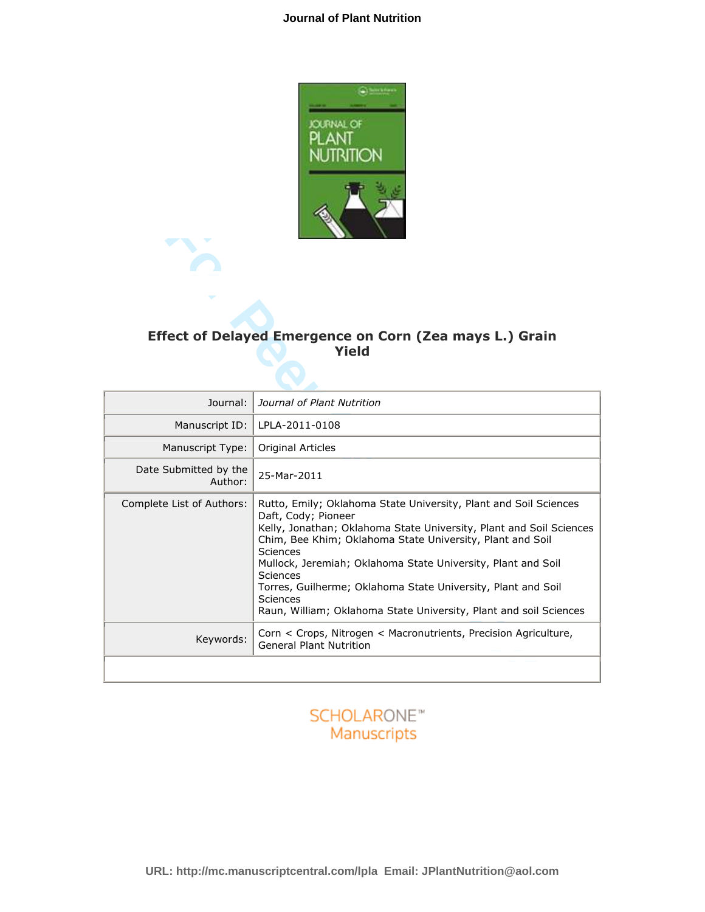## **Journal of Plant Nutrition**



# Effect of Delayed Emergence on Corn (Zea mays L.) Grain Yield

|                                  | Effect of Delayed Emergence on Corn (Zea mays L.) Grain<br><b>Yield</b>                                                                                                                                                                                                                                                                                                                                                                                                            |
|----------------------------------|------------------------------------------------------------------------------------------------------------------------------------------------------------------------------------------------------------------------------------------------------------------------------------------------------------------------------------------------------------------------------------------------------------------------------------------------------------------------------------|
| Journal:                         | Journal of Plant Nutrition                                                                                                                                                                                                                                                                                                                                                                                                                                                         |
| Manuscript ID:                   | LPLA-2011-0108                                                                                                                                                                                                                                                                                                                                                                                                                                                                     |
| Manuscript Type:                 | Original Articles                                                                                                                                                                                                                                                                                                                                                                                                                                                                  |
| Date Submitted by the<br>Author: | 25-Mar-2011                                                                                                                                                                                                                                                                                                                                                                                                                                                                        |
| Complete List of Authors:        | Rutto, Emily; Oklahoma State University, Plant and Soil Sciences<br>Daft, Cody; Pioneer<br>Kelly, Jonathan; Oklahoma State University, Plant and Soil Sciences<br>Chim, Bee Khim; Oklahoma State University, Plant and Soil<br><b>Sciences</b><br>Mullock, Jeremiah; Oklahoma State University, Plant and Soil<br>Sciences<br>Torres, Guilherme; Oklahoma State University, Plant and Soil<br><b>Sciences</b><br>Raun, William; Oklahoma State University, Plant and soil Sciences |
| Keywords:                        | Corn < Crops, Nitrogen < Macronutrients, Precision Agriculture,<br><b>General Plant Nutrition</b>                                                                                                                                                                                                                                                                                                                                                                                  |
|                                  |                                                                                                                                                                                                                                                                                                                                                                                                                                                                                    |

# **SCHOLARONE™** Manuscripts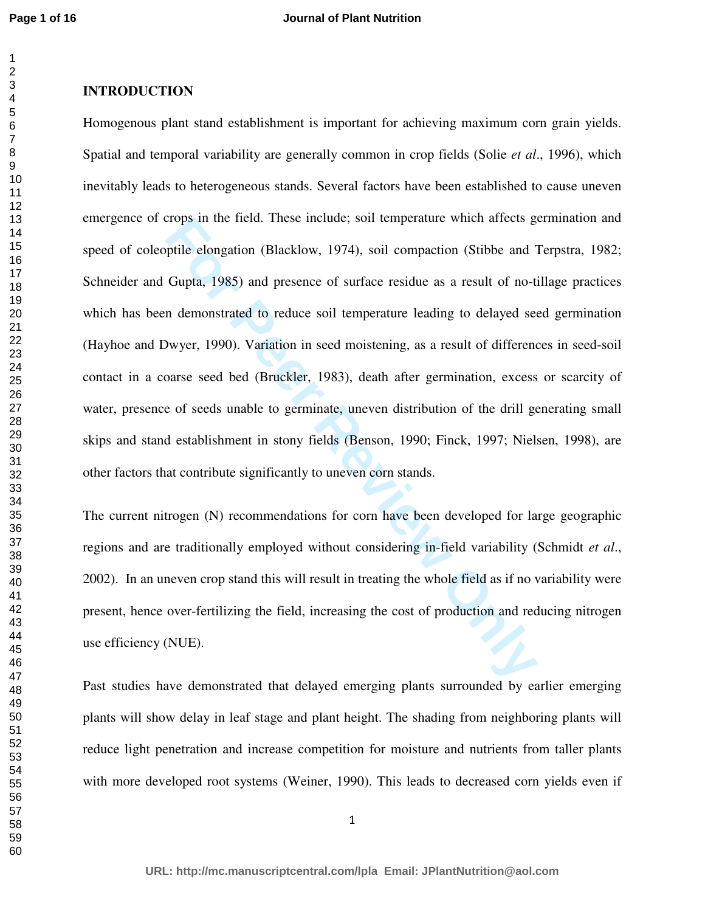# **INTRODUCTION**

Frops in the neid. These include; soil temperature which artects give<br>pitile elongation (Blacklow, 1974), soil compaction (Stibbe and 1<br>Gupta, 1985) and presence of surface residue as a result of no-ti<br>n demonstrated to re Homogenous plant stand establishment is important for achieving maximum corn grain yields. Spatial and temporal variability are generally common in crop fields (Solie *et al*., 1996), which inevitably leads to heterogeneous stands. Several factors have been established to cause uneven emergence of crops in the field. These include; soil temperature which affects germination and speed of coleoptile elongation (Blacklow, 1974), soil compaction (Stibbe and Terpstra, 1982; Schneider and Gupta, 1985) and presence of surface residue as a result of no-tillage practices which has been demonstrated to reduce soil temperature leading to delayed seed germination (Hayhoe and Dwyer, 1990). Variation in seed moistening, as a result of differences in seed-soil contact in a coarse seed bed (Bruckler, 1983), death after germination, excess or scarcity of water, presence of seeds unable to germinate, uneven distribution of the drill generating small skips and stand establishment in stony fields (Benson, 1990; Finck, 1997; Nielsen, 1998), are other factors that contribute significantly to uneven corn stands.

The current nitrogen (N) recommendations for corn have been developed for large geographic regions and are traditionally employed without considering in-field variability (Schmidt *et al*., 2002). In an uneven crop stand this will result in treating the whole field as if no variability were present, hence over-fertilizing the field, increasing the cost of production and reducing nitrogen use efficiency (NUE).

Past studies have demonstrated that delayed emerging plants surrounded by earlier emerging plants will show delay in leaf stage and plant height. The shading from neighboring plants will reduce light penetration and increase competition for moisture and nutrients from taller plants with more developed root systems (Weiner, 1990). This leads to decreased corn yields even if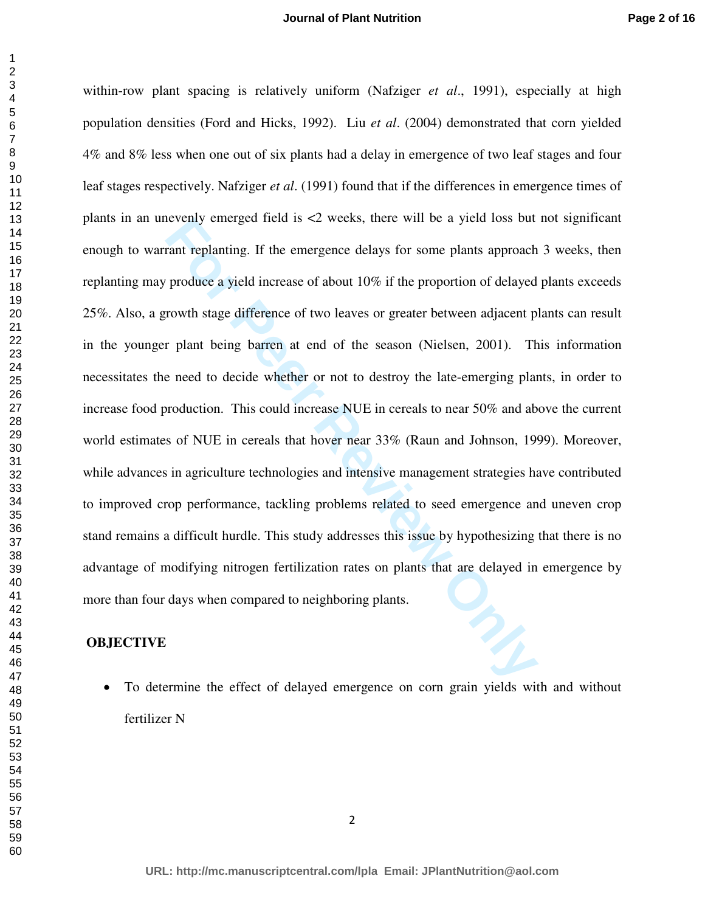**Formal Example 18 For Perromy emerged ried is <2 weeks, mere will be a yield loss but<br>rant replanting. If the emergence delays for some plants approach<br>produce a yield increase of about 10% if the proportion of delayed<br>ro** within-row plant spacing is relatively uniform (Nafziger *et al*., 1991), especially at high population densities (Ford and Hicks, 1992). Liu *et al*. (2004) demonstrated that corn yielded 4% and 8% less when one out of six plants had a delay in emergence of two leaf stages and four leaf stages respectively. Nafziger *et al*. (1991) found that if the differences in emergence times of plants in an unevenly emerged field is <2 weeks, there will be a yield loss but not significant enough to warrant replanting. If the emergence delays for some plants approach 3 weeks, then replanting may produce a yield increase of about 10% if the proportion of delayed plants exceeds 25%. Also, a growth stage difference of two leaves or greater between adjacent plants can result in the younger plant being barren at end of the season (Nielsen, 2001). This information necessitates the need to decide whether or not to destroy the late-emerging plants, in order to increase food production. This could increase NUE in cereals to near 50% and above the current world estimates of NUE in cereals that hover near 33% (Raun and Johnson, 1999). Moreover, while advances in agriculture technologies and intensive management strategies have contributed to improved crop performance, tackling problems related to seed emergence and uneven crop stand remains a difficult hurdle. This study addresses this issue by hypothesizing that there is no advantage of modifying nitrogen fertilization rates on plants that are delayed in emergence by more than four days when compared to neighboring plants.

## **OBJECTIVE**

• To determine the effect of delayed emergence on corn grain yields with and without fertilizer N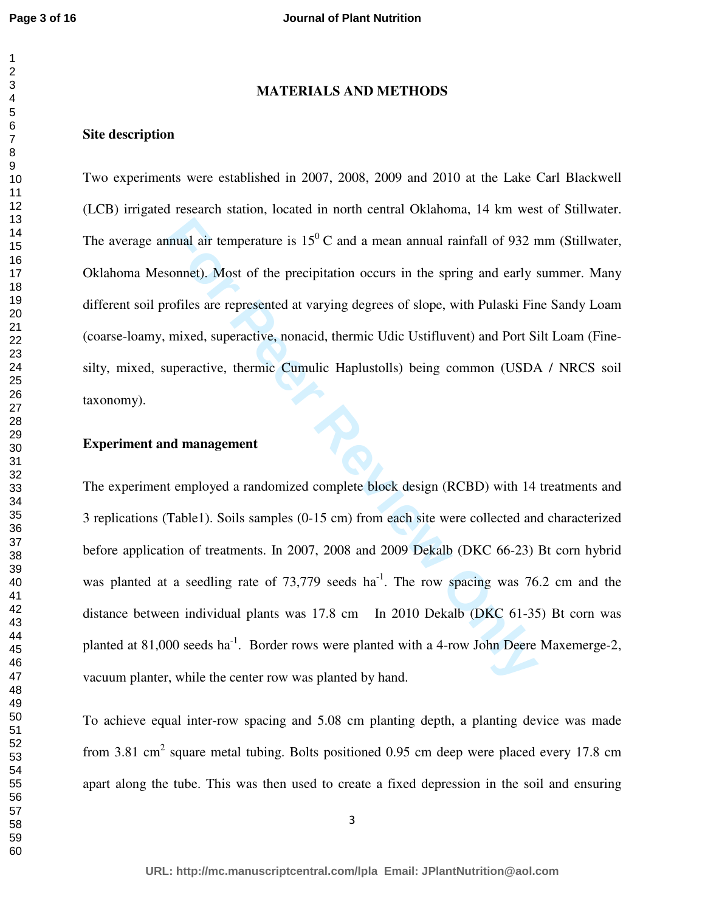## **MATERIALS AND METHODS**

## **Site description**

Two experiments were establish**e**d in 2007, 2008, 2009 and 2010 at the Lake Carl Blackwell (LCB) irrigated research station, located in north central Oklahoma, 14 km west of Stillwater. The average annual air temperature is  $15^{\circ}$ C and a mean annual rainfall of 932 mm (Stillwater, Oklahoma Mesonnet). Most of the precipitation occurs in the spring and early summer. Many different soil profiles are represented at varying degrees of slope, with Pulaski Fine Sandy Loam (coarse-loamy, mixed, superactive, nonacid, thermic Udic Ustifluvent) and Port Silt Loam (Finesilty, mixed, superactive, thermic Cumulic Haplustolls) being common (USDA / NRCS soil taxonomy).

## **Experiment and management**

mual air temperature is  $15^0$  C and a mean annual rainfall of 932 r<br>sonnet). Most of the precipitation occurs in the spring and early s<br>rofiles are represented at varying degrees of slope, with Pulaski Fir<br>mixed, superac The experiment employed a randomized complete block design (RCBD) with 14 treatments and 3 replications (Table1). Soils samples (0-15 cm) from each site were collected and characterized before application of treatments. In 2007, 2008 and 2009 Dekalb (DKC 66-23) Bt corn hybrid was planted at a seedling rate of  $73,779$  seeds ha<sup>-1</sup>. The row spacing was  $76.2$  cm and the distance between individual plants was 17.8 cm In 2010 Dekalb (DKC 61-35) Bt corn was planted at  $81,000$  seeds ha<sup>-1</sup>. Border rows were planted with a 4-row John Deere Maxemerge-2, vacuum planter, while the center row was planted by hand.

To achieve equal inter-row spacing and 5.08 cm planting depth, a planting device was made from 3.81 cm<sup>2</sup> square metal tubing. Bolts positioned 0.95 cm deep were placed every 17.8 cm apart along the tube. This was then used to create a fixed depression in the soil and ensuring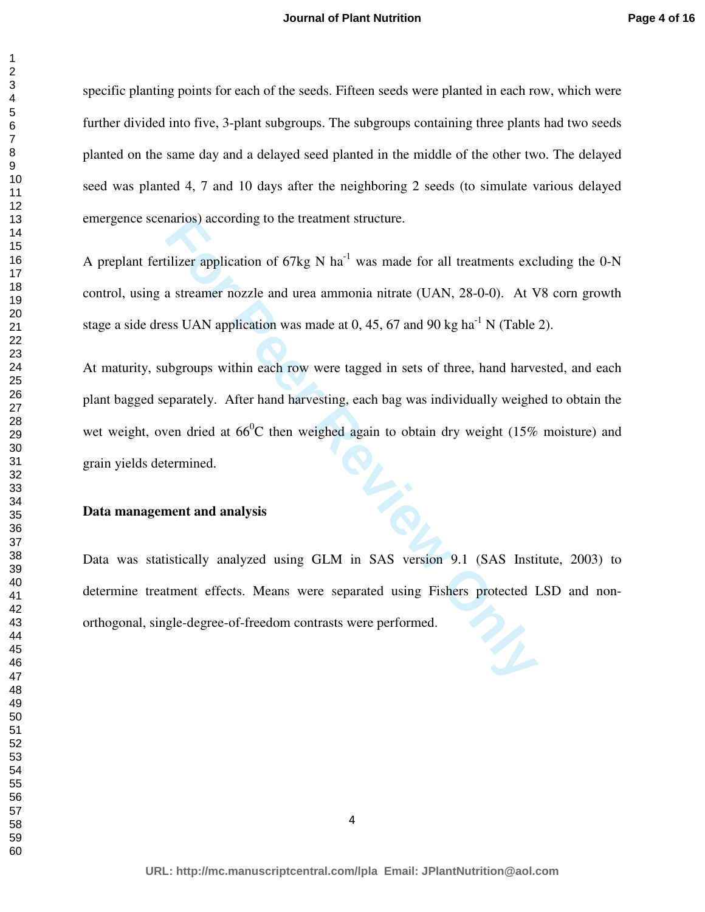#### **Journal of Plant Nutrition**

specific planting points for each of the seeds. Fifteen seeds were planted in each row, which were further divided into five, 3-plant subgroups. The subgroups containing three plants had two seeds planted on the same day and a delayed seed planted in the middle of the other two. The delayed seed was planted 4, 7 and 10 days after the neighboring 2 seeds (to simulate various delayed emergence scenarios) according to the treatment structure.

A preplant fertilizer application of  $67kg$  N ha<sup>-1</sup> was made for all treatments excluding the 0-N control, using a streamer nozzle and urea ammonia nitrate (UAN, 28-0-0). At V8 corn growth stage a side dress UAN application was made at 0, 45, 67 and 90 kg ha<sup>-1</sup> N (Table 2).

narios) according to the treatment structure.<br> **Elizer application of 67kg N ha<sup>-1</sup>** was made for all treatments exc<br>
a streamer nozzle and urea ammonia nitrate (UAN, 28-0-0). At V<br>
ses UAN application was made at 0, 45, 6 At maturity, subgroups within each row were tagged in sets of three, hand harvested, and each plant bagged separately. After hand harvesting, each bag was individually weighed to obtain the wet weight, oven dried at  $66^{\circ}$ C then weighed again to obtain dry weight (15% moisture) and grain yields determined.

## **Data management and analysis**

Data was statistically analyzed using GLM in SAS version 9.1 (SAS Institute, 2003) to determine treatment effects. Means were separated using Fishers protected LSD and nonorthogonal, single-degree-of-freedom contrasts were performed.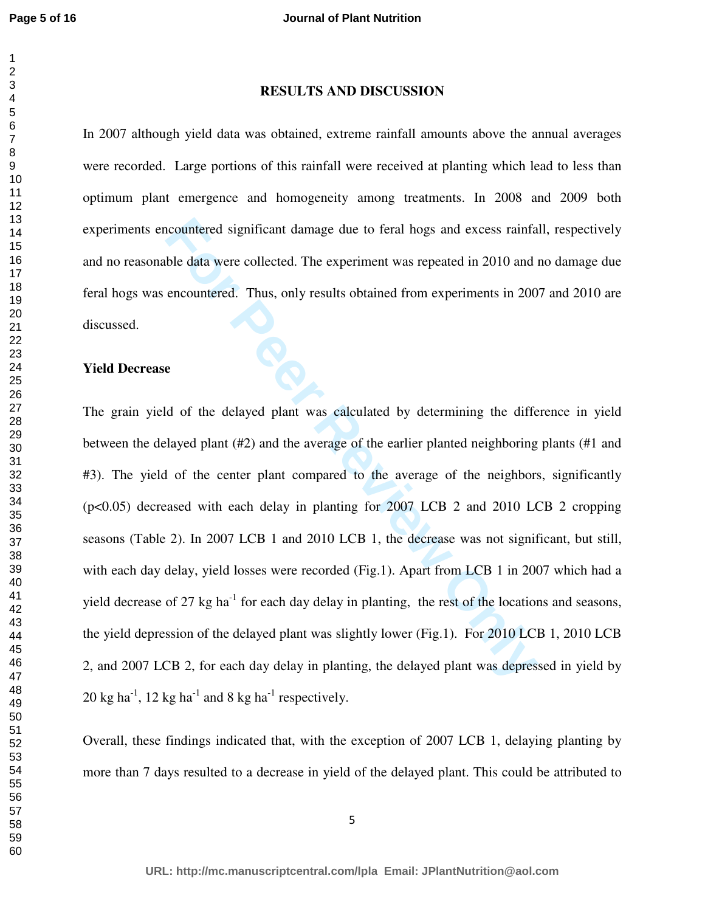## 

## **RESULTS AND DISCUSSION**

In 2007 although yield data was obtained, extreme rainfall amounts above the annual averages were recorded. Large portions of this rainfall were received at planting which lead to less than optimum plant emergence and homogeneity among treatments. In 2008 and 2009 both experiments encountered significant damage due to feral hogs and excess rainfall, respectively and no reasonable data were collected. The experiment was repeated in 2010 and no damage due feral hogs was encountered. Thus, only results obtained from experiments in 2007 and 2010 are discussed.

#### **Yield Decrease**

incountered significant damage due to feral hogs and excess rainfa<br>ble data were collected. The experiment was repeated in 2010 and i<br>encountered. Thus, only results obtained from experiments in 200<br>**E**<br>**E**<br>**E**<br>**E**<br>**E**<br>**E** The grain yield of the delayed plant was calculated by determining the difference in yield between the delayed plant (#2) and the average of the earlier planted neighboring plants (#1 and #3). The yield of the center plant compared to the average of the neighbors, significantly (p<0.05) decreased with each delay in planting for 2007 LCB 2 and 2010 LCB 2 cropping seasons (Table 2). In 2007 LCB 1 and 2010 LCB 1, the decrease was not significant, but still, with each day delay, yield losses were recorded (Fig.1). Apart from LCB 1 in 2007 which had a yield decrease of 27 kg ha<sup>-1</sup> for each day delay in planting, the rest of the locations and seasons, the yield depression of the delayed plant was slightly lower (Fig.1). For 2010 LCB 1, 2010 LCB 2, and 2007 LCB 2, for each day delay in planting, the delayed plant was depressed in yield by  $20 \text{ kg ha}^{-1}$ ,  $12 \text{ kg ha}^{-1}$  and 8 kg ha<sup>-1</sup> respectively.

Overall, these findings indicated that, with the exception of 2007 LCB 1, delaying planting by more than 7 days resulted to a decrease in yield of the delayed plant. This could be attributed to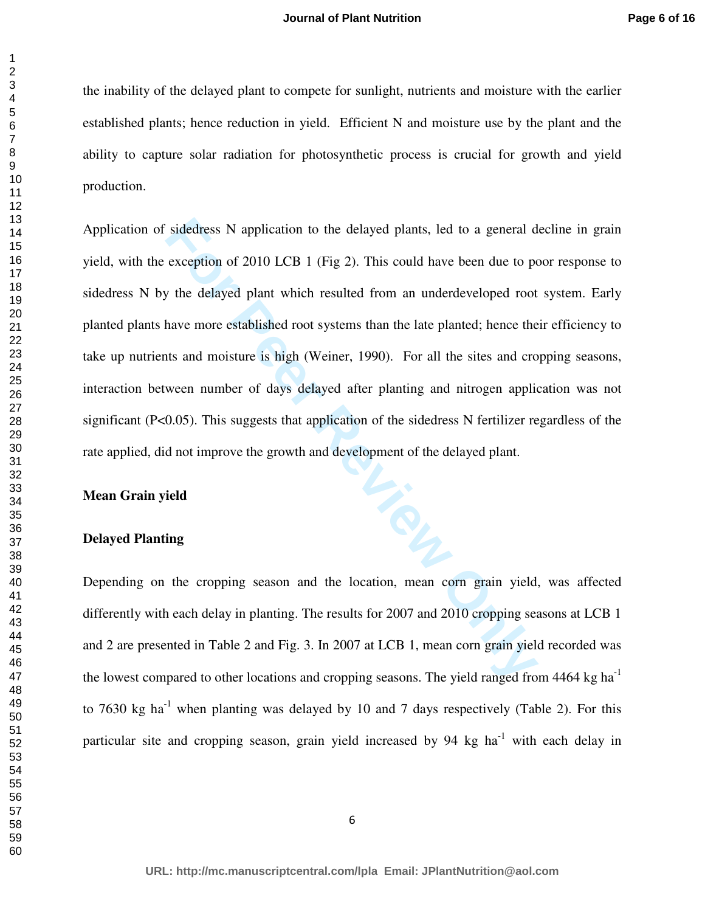the inability of the delayed plant to compete for sunlight, nutrients and moisture with the earlier established plants; hence reduction in yield. Efficient N and moisture use by the plant and the ability to capture solar radiation for photosynthetic process is crucial for growth and yield production.

is dedress N application to the delayed plants, led to a general dexception of 2010 LCB 1 (Fig 2). This could have been due to poten the delayed plant which resulted from an underdeveloped root have more established root s Application of sidedress N application to the delayed plants, led to a general decline in grain yield, with the exception of 2010 LCB 1 (Fig 2). This could have been due to poor response to sidedress N by the delayed plant which resulted from an underdeveloped root system. Early planted plants have more established root systems than the late planted; hence their efficiency to take up nutrients and moisture is high (Weiner, 1990). For all the sites and cropping seasons, interaction between number of days delayed after planting and nitrogen application was not significant (P<0.05). This suggests that application of the sidedress N fertilizer regardless of the rate applied, did not improve the growth and development of the delayed plant.

#### **Mean Grain yield**

## **Delayed Planting**

Depending on the cropping season and the location, mean corn grain yield, was affected differently with each delay in planting. The results for 2007 and 2010 cropping seasons at LCB 1 and 2 are presented in Table 2 and Fig. 3. In 2007 at LCB 1, mean corn grain yield recorded was the lowest compared to other locations and cropping seasons. The yield ranged from  $4464 \text{ kg ha}^{-1}$ to 7630 kg ha<sup>-1</sup> when planting was delayed by 10 and 7 days respectively (Table 2). For this particular site and cropping season, grain yield increased by 94 kg ha $^{-1}$  with each delay in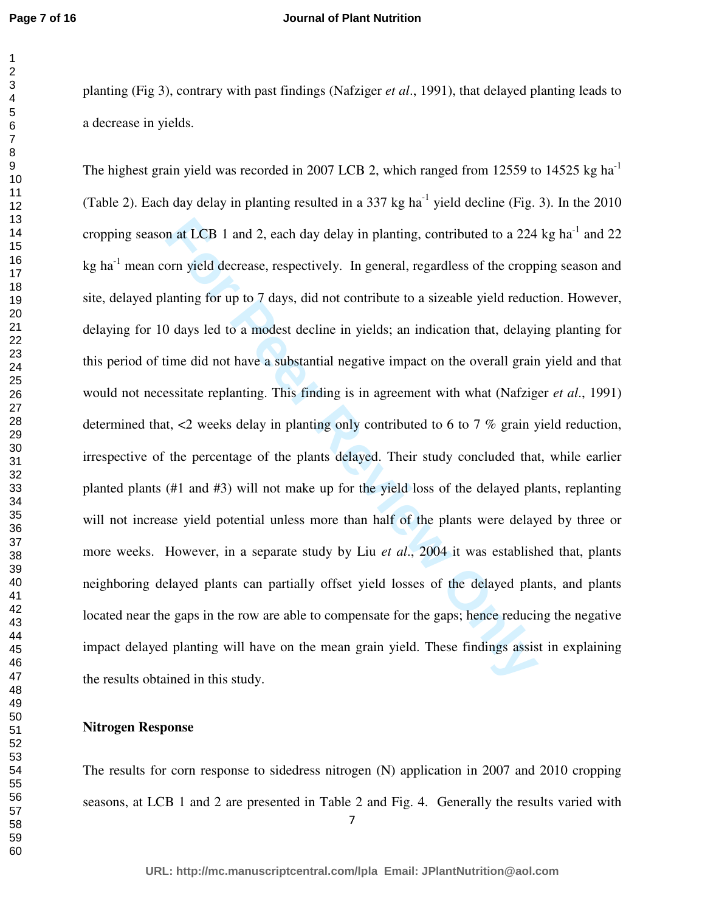#### **Journal of Plant Nutrition**

planting (Fig 3), contrary with past findings (Nafziger *et al*., 1991), that delayed planting leads to a decrease in yields.

in at LCB 1 and 2, each day delay in planting, contributed to a 224 orn yield decrease, respectively. In general, regardless of the cropp lanting for up to 7 days, did not contribute to a sizeable yield reduce of days led The highest grain yield was recorded in 2007 LCB 2, which ranged from 12559 to 14525 kg ha<sup>-1</sup> (Table 2). Each day delay in planting resulted in a  $337 \text{ kg ha}^{-1}$  yield decline (Fig. 3). In the 2010 cropping season at LCB 1 and 2, each day delay in planting, contributed to a 224 kg ha<sup>-1</sup> and 22 kg ha<sup>-1</sup> mean corn yield decrease, respectively. In general, regardless of the cropping season and site, delayed planting for up to 7 days, did not contribute to a sizeable yield reduction. However, delaying for 10 days led to a modest decline in yields; an indication that, delaying planting for this period of time did not have a substantial negative impact on the overall grain yield and that would not necessitate replanting. This finding is in agreement with what (Nafziger *et al*., 1991) determined that, <2 weeks delay in planting only contributed to 6 to 7 % grain yield reduction, irrespective of the percentage of the plants delayed. Their study concluded that, while earlier planted plants (#1 and #3) will not make up for the yield loss of the delayed plants, replanting will not increase yield potential unless more than half of the plants were delayed by three or more weeks. However, in a separate study by Liu *et al*., 2004 it was established that, plants neighboring delayed plants can partially offset yield losses of the delayed plants, and plants located near the gaps in the row are able to compensate for the gaps; hence reducing the negative impact delayed planting will have on the mean grain yield. These findings assist in explaining the results obtained in this study.

## **Nitrogen Response**

The results for corn response to sidedress nitrogen (N) application in 2007 and 2010 cropping seasons, at LCB 1 and 2 are presented in Table 2 and Fig. 4. Generally the results varied with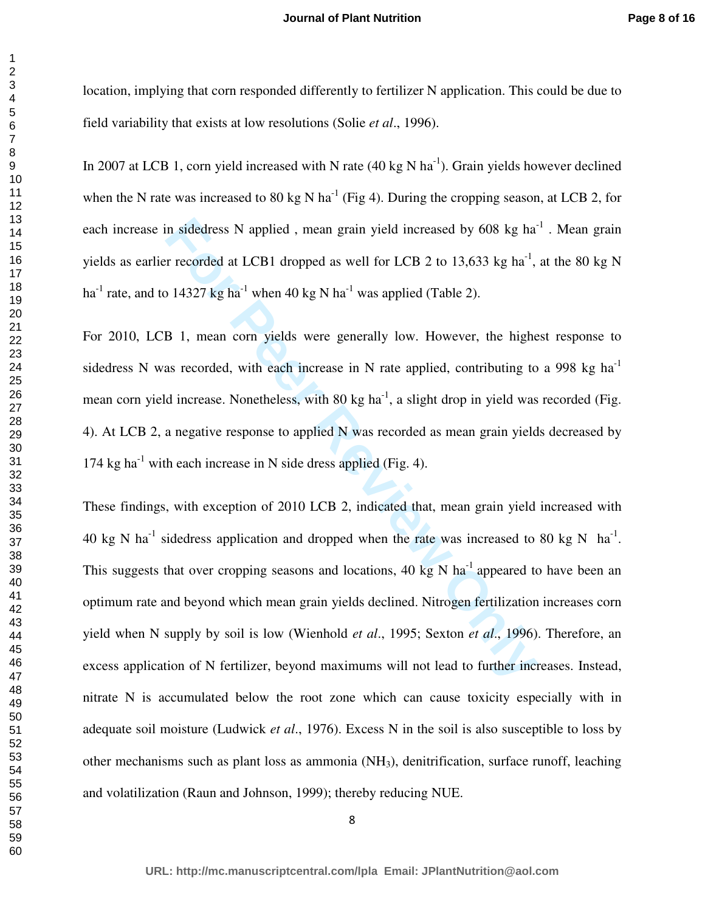location, implying that corn responded differently to fertilizer N application. This could be due to field variability that exists at low resolutions (Solie *et al*., 1996).

In 2007 at LCB 1, corn yield increased with N rate  $(40 \text{ kg N ha}^{-1})$ . Grain yields however declined when the N rate was increased to 80 kg N ha<sup>-1</sup> (Fig 4). During the cropping season, at LCB 2, for each increase in sidedress N applied, mean grain yield increased by  $608 \text{ kg ha}^{-1}$ . Mean grain yields as earlier recorded at LCB1 dropped as well for LCB 2 to 13,633 kg ha<sup>-1</sup>, at the 80 kg N ha<sup>-1</sup> rate, and to 14327 kg ha<sup>-1</sup> when 40 kg N ha<sup>-1</sup> was applied (Table 2).

For 2010, LCB 1, mean corn yields were generally low. However, the highest response to sidedress N was recorded, with each increase in N rate applied, contributing to a 998 kg ha<sup>-1</sup> mean corn yield increase. Nonetheless, with 80 kg ha<sup>-1</sup>, a slight drop in yield was recorded (Fig. 4). At LCB 2, a negative response to applied N was recorded as mean grain yields decreased by 174 kg ha<sup>-1</sup> with each increase in N side dress applied (Fig. 4).

in sidedress N applied, mean grain yield increased by 608 kg ha<sup>z</sup><br>r recorded at LCB1 dropped as well for LCB 2 to 13,633 kg ha<sup>2</sup>,<br>14327 kg ha<sup>21</sup> when 40 kg N ha<sup>21</sup> was applied (Table 2).<br>B 1, mean corn yields were gen These findings, with exception of 2010 LCB 2, indicated that, mean grain yield increased with 40 kg N ha<sup>-1</sup> sidedress application and dropped when the rate was increased to 80 kg N ha<sup>-1</sup>. This suggests that over cropping seasons and locations, 40 kg N ha<sup>-1</sup> appeared to have been an optimum rate and beyond which mean grain yields declined. Nitrogen fertilization increases corn yield when N supply by soil is low (Wienhold *et al*., 1995; Sexton *et al*., 1996). Therefore, an excess application of N fertilizer, beyond maximums will not lead to further increases. Instead, nitrate N is accumulated below the root zone which can cause toxicity especially with in adequate soil moisture (Ludwick *et al*., 1976). Excess N in the soil is also susceptible to loss by other mechanisms such as plant loss as ammonia (NH3), denitrification, surface runoff, leaching and volatilization (Raun and Johnson, 1999); thereby reducing NUE.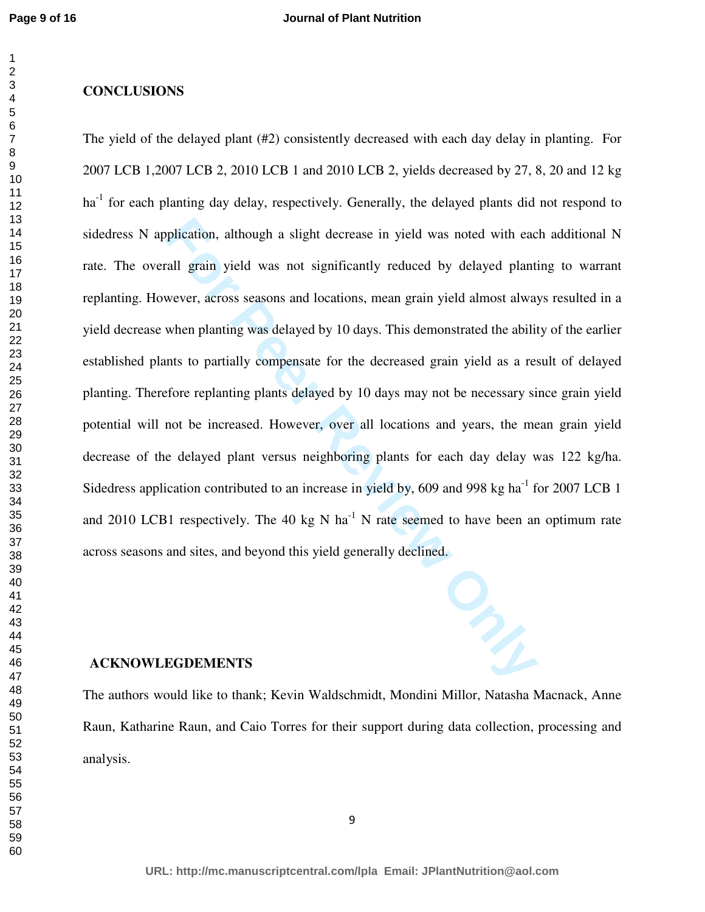## 

# **CONCLUSIONS**

plication, although a slight decrease in yield was noted with each<br>all grain yield was not significantly reduced by delayed planti<br>wever, across seasons and locations, mean grain yield almost alway<br>when planting was delaye The yield of the delayed plant (#2) consistently decreased with each day delay in planting. For 2007 LCB 1,2007 LCB 2, 2010 LCB 1 and 2010 LCB 2, yields decreased by 27, 8, 20 and 12 kg  $ha<sup>-1</sup>$  for each planting day delay, respectively. Generally, the delayed plants did not respond to sidedress N application, although a slight decrease in yield was noted with each additional N rate. The overall grain yield was not significantly reduced by delayed planting to warrant replanting. However, across seasons and locations, mean grain yield almost always resulted in a yield decrease when planting was delayed by 10 days. This demonstrated the ability of the earlier established plants to partially compensate for the decreased grain yield as a result of delayed planting. Therefore replanting plants delayed by 10 days may not be necessary since grain yield potential will not be increased. However, over all locations and years, the mean grain yield decrease of the delayed plant versus neighboring plants for each day delay was 122 kg/ha. Sidedress application contributed to an increase in yield by, 609 and 998 kg ha<sup>-1</sup> for 2007 LCB 1 and 2010 LCB1 respectively. The 40 kg N ha<sup>-1</sup> N rate seemed to have been an optimum rate across seasons and sites, and beyond this yield generally declined.

## **ACKNOWLEGDEMENTS**

The authors would like to thank; Kevin Waldschmidt, Mondini Millor, Natasha Macnack, Anne Raun, Katharine Raun, and Caio Torres for their support during data collection, processing and analysis.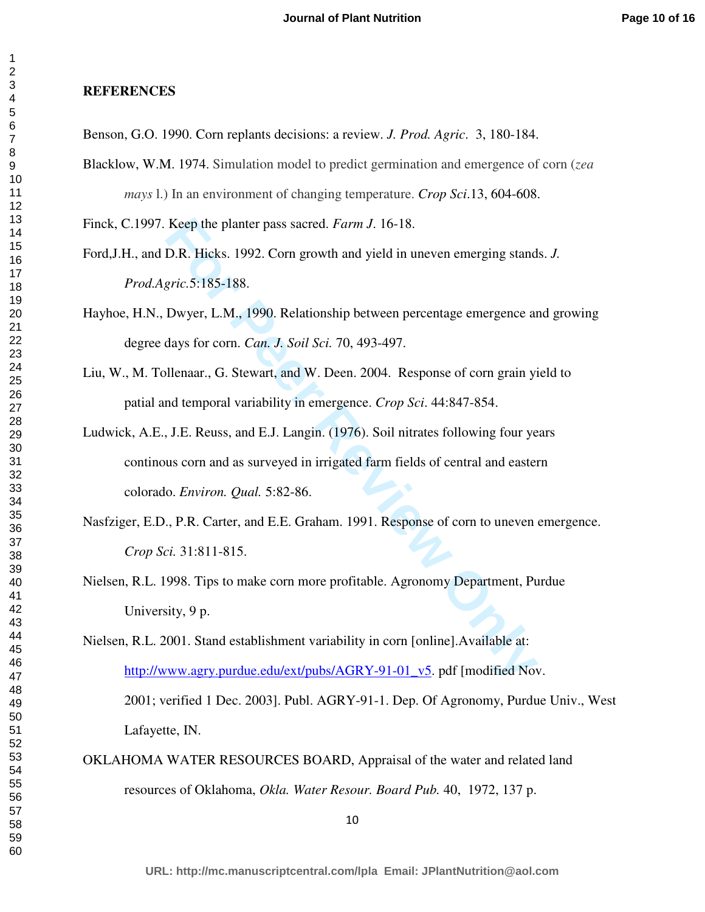### **REFERENCES**

- Benson, G.O. 1990. Corn replants decisions: a review. *J. Prod. Agric*. 3, 180-184.
- Blacklow, W.M. 1974. Simulation model to predict germination and emergence of corn (*zea mays* l.) In an environment of changing temperature. *Crop Sci*.13, 604-608.

Finck, C.1997. Keep the planter pass sacred. *Farm J*. 16-18.

- Ford,J.H., and D.R. Hicks. 1992. Corn growth and yield in uneven emerging stands. *J. Prod.Agric.*5:185-188.
- Hayhoe, H.N., Dwyer, L.M., 1990. Relationship between percentage emergence and growing degree days for corn. *Can. J. Soil Sci.* 70, 493-497.
- Liu, W., M. Tollenaar., G. Stewart, and W. Deen. 2004. Response of corn grain yield to patial and temporal variability in emergence. *Crop Sci*. 44:847-854.
- Keep the planter pass sacred. *Farm J.* 16-18.<br>
D.R. Hicks. 1992. Corn growth and yield in uneven emerging stand<br>
gric.5:185-188.<br>
Dwyer, L.M., 1990. Relationship between percentage emergence ar<br>
days for corn. *Can. J. So* Ludwick, A.E., J.E. Reuss, and E.J. Langin. (1976). Soil nitrates following four years continous corn and as surveyed in irrigated farm fields of central and eastern colorado. *Environ. Qual.* 5:82-86.
- Nasfziger, E.D., P.R. Carter, and E.E. Graham. 1991. Response of corn to uneven emergence. *Crop Sci.* 31:811-815.
- Nielsen, R.L. 1998. Tips to make corn more profitable. Agronomy Department, Purdue University, 9 p.
- Nielsen, R.L. 2001. Stand establishment variability in corn [online].Available at: http://www.agry.purdue.edu/ext/pubs/AGRY-91-01\_v5. pdf [modified Nov. 2001; verified 1 Dec. 2003]. Publ. AGRY-91-1. Dep. Of Agronomy, Purdue Univ., West Lafayette, IN.
- OKLAHOMA WATER RESOURCES BOARD, Appraisal of the water and related land resources of Oklahoma, *Okla. Water Resour. Board Pub.* 40, 1972, 137 p.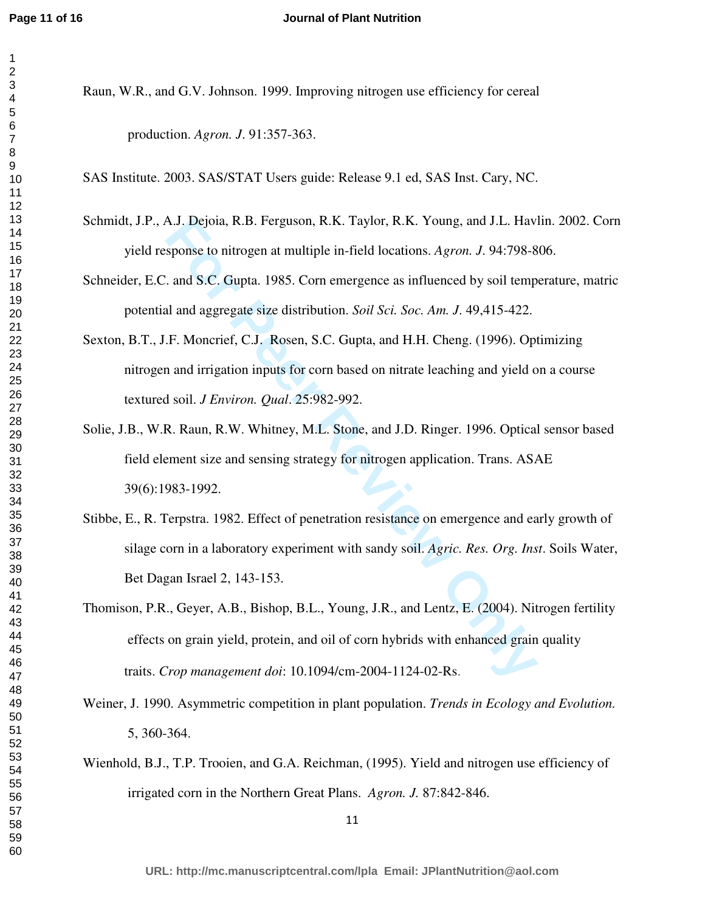#### **Journal of Plant Nutrition**

- 
- Raun, W.R., and G.V. Johnson. 1999. Improving nitrogen use efficiency for cereal production. *Agron. J*. 91:357-363.

SAS Institute. 2003. SAS/STAT Users guide: Release 9.1 ed, SAS Inst. Cary, NC.

- Schmidt, J.P., A.J. Dejoia, R.B. Ferguson, R.K. Taylor, R.K. Young, and J.L. Havlin. 2002. Corn yield response to nitrogen at multiple in-field locations. *Agron. J*. 94:798-806.
- Schneider, E.C. and S.C. Gupta. 1985. Corn emergence as influenced by soil temperature, matric potential and aggregate size distribution. *Soil Sci. Soc. Am. J*. 49,415-422.
- Sexton, B.T., J.F. Moncrief, C.J. Rosen, S.C. Gupta, and H.H. Cheng. (1996). Optimizing nitrogen and irrigation inputs for corn based on nitrate leaching and yield on a course textured soil. *J Environ. Qual*. 25:982-992.
- Solie, J.B., W.R. Raun, R.W. Whitney, M.L. Stone, and J.D. Ringer. 1996. Optical sensor based field element size and sensing strategy for nitrogen application. Trans. ASAE 39(6):1983-1992.
- Stibbe, E., R. Terpstra. 1982. Effect of penetration resistance on emergence and early growth of silage corn in a laboratory experiment with sandy soil. *Agric. Res. Org. Inst*. Soils Water, Bet Dagan Israel 2, 143-153.
- A.J. Dejoia, R.B. Ferguson, R.K. Taylor, R.K. Young, and J.L. Havisponse to nitrogen at multiple in-field locations. *Agron. J.* 94:798-8.<br> *For And S.C. Gupta.* 1985. Corn emergence as influenced by soil temp<br>
al and aggr Thomison, P.R., Geyer, A.B., Bishop, B.L., Young, J.R., and Lentz, E. (2004). Nitrogen fertility effects on grain yield, protein, and oil of corn hybrids with enhanced grain quality traits. *Crop management doi*: 10.1094/cm-2004-1124-02-Rs.
- Weiner, J. 1990. Asymmetric competition in plant population. *Trends in Ecology and Evolution.* 5, 360-364.
- Wienhold, B.J., T.P. Trooien, and G.A. Reichman, (1995). Yield and nitrogen use efficiency of irrigated corn in the Northern Great Plans. *Agron. J.* 87:842-846.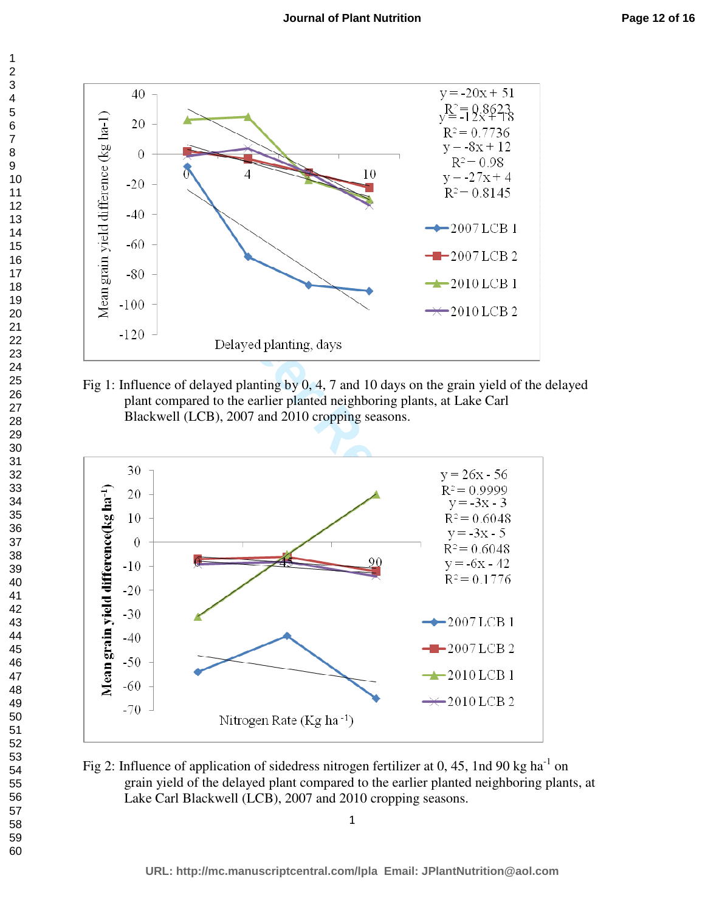

Fig 1: Influence of delayed planting by 0, 4, 7 and 10 days on the grain yield of the delayed plant compared to the earlier planted neighboring plants, at Lake Carl Blackwell (LCB), 2007 and 2010 cropping seasons.



Fig 2: Influence of application of sidedress nitrogen fertilizer at 0, 45, 1nd 90 kg ha<sup>-1</sup> on grain yield of the delayed plant compared to the earlier planted neighboring plants, at Lake Carl Blackwell (LCB), 2007 and 2010 cropping seasons.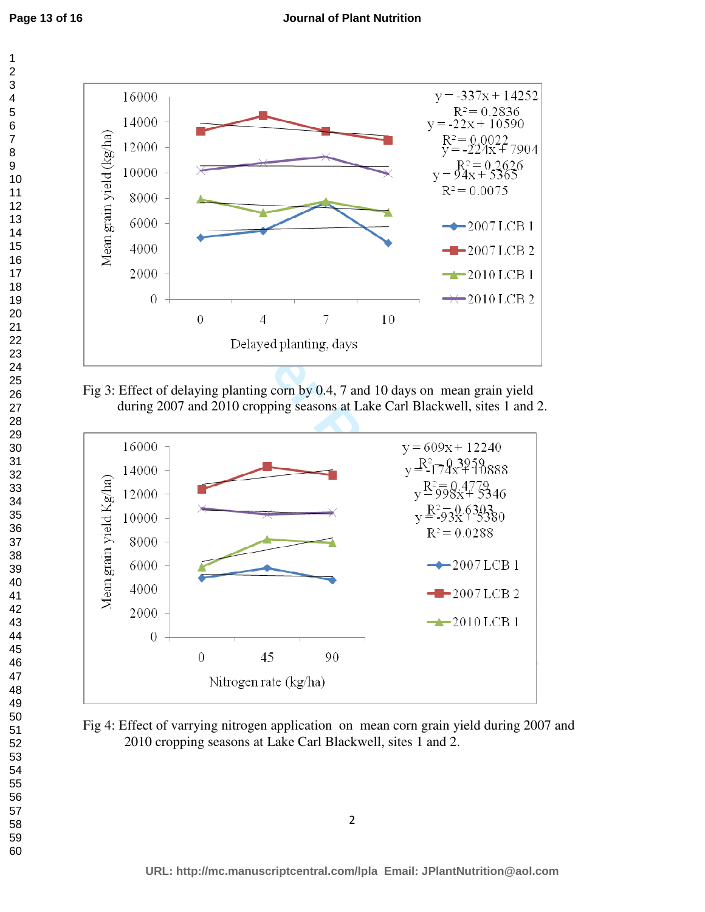

Fig 3: Effect of delaying planting corn by 0.4, 7 and 10 days on mean grain yield during 2007 and 2010 cropping seasons at Lake Carl Blackwell, sites 1 and 2.



Fig 4: Effect of varrying nitrogen application on mean corn grain yield during 2007 and 2010 cropping seasons at Lake Carl Blackwell, sites 1 and 2.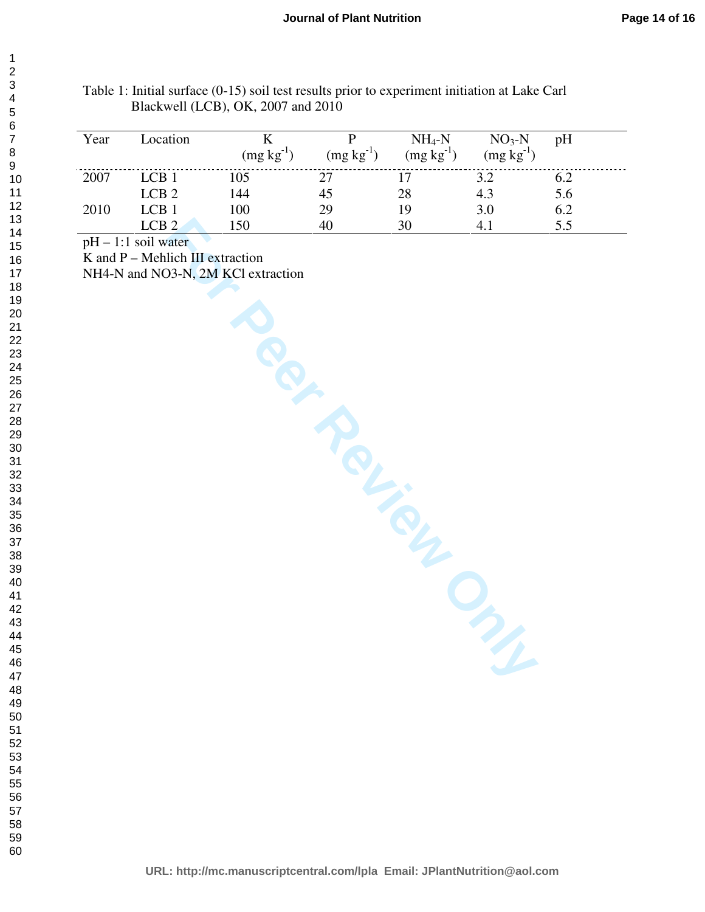| Year | Location         | $(mg kg^{-1})$ | $(mg kg^{-1})$ | $NH_4-N$<br>$(mg kg-1)$ | $NO3-N$<br>$(mg kg^{-1})$ | pH  |
|------|------------------|----------------|----------------|-------------------------|---------------------------|-----|
| 2007 | LCB1             | 105            | 27             |                         | 3.2                       | 6.2 |
|      | LCB <sub>2</sub> | 144            | 45             | 28                      | 4.3                       | 5.6 |
| 2010 | LCB <sub>1</sub> | 100            | 29             | 19                      | 3.0                       | 6.2 |
|      | LCB <sub>2</sub> | 150            | 40             | 30                      |                           | 5.5 |

Table 1: Initial surface (0-15) soil test results prior to experiment initiation at Lake Carl Blackwell (LCB), OK, 2007 and 2010

 $pH - 1:1$  soil water

K and P – Mehlich III extraction

NH4-N and NO3-N, 2M KCl extraction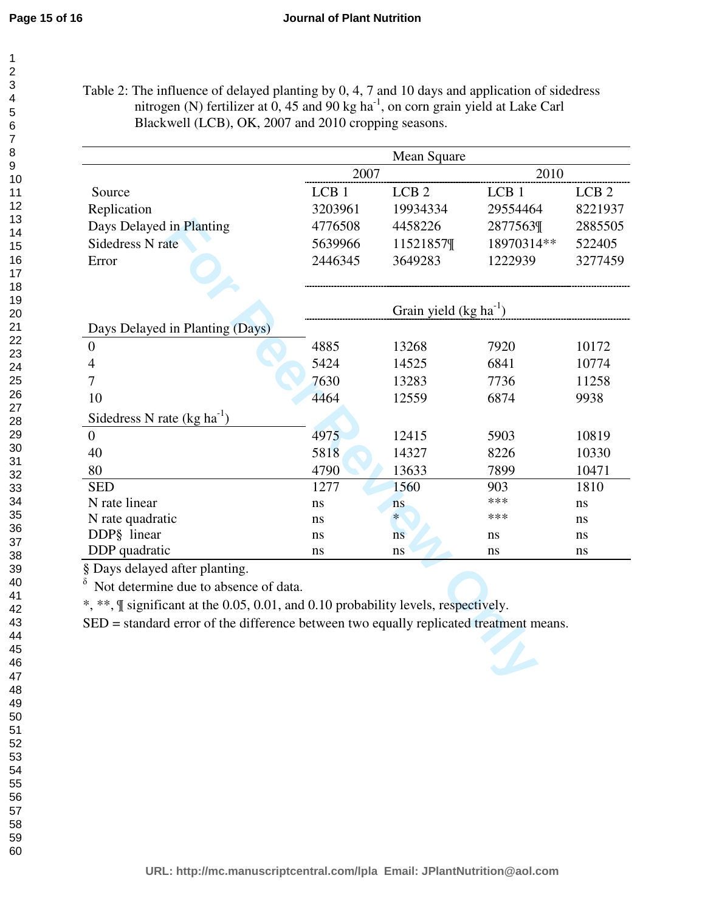Table 2: The influence of delayed planting by 0, 4, 7 and 10 days and application of sidedress nitrogen (N) fertilizer at , 45 and 90 kg ha<sup>-1</sup>, on corn grain yield at Lake Carl Blackwell (LCB), OK, 2007 and 2010 cropping seasons.

|                                                                                            |                            | Mean Square      |                  |                  |
|--------------------------------------------------------------------------------------------|----------------------------|------------------|------------------|------------------|
|                                                                                            | 2007                       |                  | 2010             |                  |
| Source                                                                                     | LCB <sub>1</sub>           | LCB <sub>2</sub> | LCB <sub>1</sub> | LCB <sub>2</sub> |
| Replication                                                                                | 3203961                    | 19934334         | 29554464         | 8221937          |
| Days Delayed in Planting                                                                   | 4776508                    | 4458226          | 2877563¶         | 2885505          |
| <b>Sidedress N rate</b>                                                                    | 5639966                    | 11521857¶        | 18970314**       | 522405           |
| Error                                                                                      | 2446345                    | 3649283          | 1222939          | 3277459          |
|                                                                                            | Grain yield $(kg ha^{-1})$ |                  |                  |                  |
| Days Delayed in Planting (Days)                                                            |                            |                  |                  |                  |
| $\boldsymbol{0}$                                                                           | 4885                       | 13268            | 7920             | 10172            |
| 4                                                                                          | 5424                       | 14525            | 6841             | 10774            |
| 7                                                                                          | 7630                       | 13283            | 7736             | 11258            |
| 10                                                                                         | 4464                       | 12559            | 6874             | 9938             |
| Sidedress N rate $(kg ha^{-1})$                                                            |                            |                  |                  |                  |
| $\overline{0}$                                                                             | 4975                       | 12415            | 5903             | 10819            |
| 40                                                                                         | 5818                       | 14327            | 8226             | 10330            |
| 80                                                                                         | 4790                       | 13633            | 7899             | 10471            |
| <b>SED</b>                                                                                 | 1277                       | 1560             | 903              | 1810             |
| N rate linear                                                                              | ns                         | ns               | ***              | ns               |
| N rate quadratic                                                                           | ns                         | $\ast$           | ***              | ns               |
| DDP§ linear                                                                                | ns                         | ns               | ns               | ns               |
| DDP quadratic                                                                              | ns                         | ns               | ns               | ns               |
| § Days delayed after planting.                                                             |                            |                  |                  |                  |
| δ<br>Not determine due to absence of data.                                                 |                            |                  |                  |                  |
| *, **, <i>If</i> significant at the 0.05, 0.01, and 0.10 probability levels, respectively. |                            |                  |                  |                  |
| SED = standard error of the difference between two equally replicated treatment means.     |                            |                  |                  |                  |
|                                                                                            |                            |                  |                  |                  |
|                                                                                            |                            |                  |                  |                  |
|                                                                                            |                            |                  |                  |                  |
|                                                                                            |                            |                  |                  |                  |